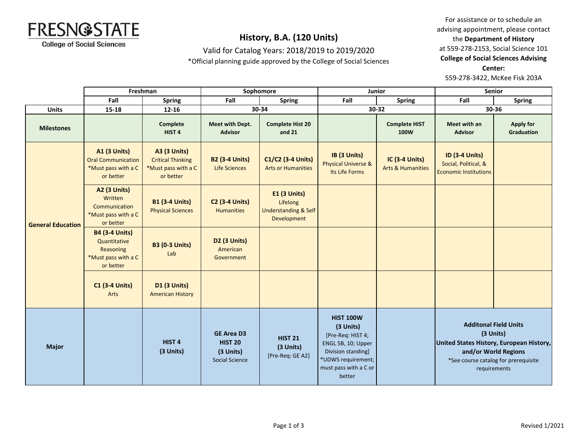

Valid for Catalog Years: 2018/2019 to 2019/2020

\*Official planning guide approved by the College of Social Sciences

For assistance or to schedule an advising appointment, please contact the **Department of History** at 559-278-2153, Social Science 101 **College of Social Sciences Advising Center:**  559-278-3422, McKee Fisk 203A

|                          | Freshman                                                                               |                                                                                     | Sophomore                                                                 |                                                                            | <b>Junior</b>                                                                                                                                           |                                                | Senior                                                                        |                                                                                                           |
|--------------------------|----------------------------------------------------------------------------------------|-------------------------------------------------------------------------------------|---------------------------------------------------------------------------|----------------------------------------------------------------------------|---------------------------------------------------------------------------------------------------------------------------------------------------------|------------------------------------------------|-------------------------------------------------------------------------------|-----------------------------------------------------------------------------------------------------------|
|                          | Fall                                                                                   | <b>Spring</b>                                                                       | Fall                                                                      | <b>Spring</b>                                                              | Fall                                                                                                                                                    | <b>Spring</b>                                  | Fall                                                                          | <b>Spring</b>                                                                                             |
| <b>Units</b>             | 15-18                                                                                  | 12-16                                                                               | 30-34                                                                     |                                                                            | 30-32                                                                                                                                                   |                                                | 30-36                                                                         |                                                                                                           |
| <b>Milestones</b>        |                                                                                        | Complete<br>HIST <sub>4</sub>                                                       | Meet with Dept.<br><b>Advisor</b>                                         | <b>Complete Hist 20</b><br>and $21$                                        |                                                                                                                                                         | <b>Complete HIST</b><br>100W                   | Meet with an<br><b>Advisor</b>                                                | <b>Apply for</b><br><b>Graduation</b>                                                                     |
| <b>General Education</b> | <b>A1 (3 Units)</b><br><b>Oral Communication</b><br>*Must pass with a C<br>or better   | <b>A3 (3 Units)</b><br><b>Critical Thinking</b><br>*Must pass with a C<br>or better | <b>B2 (3-4 Units)</b><br><b>Life Sciences</b>                             | C1/C2 (3-4 Units)<br><b>Arts or Humanities</b>                             | IB (3 Units)<br><b>Physical Universe &amp;</b><br>Its Life Forms                                                                                        | IC (3-4 Units)<br><b>Arts &amp; Humanities</b> | <b>ID (3-4 Units)</b><br>Social, Political, &<br><b>Economic Institutions</b> |                                                                                                           |
|                          | <b>A2 (3 Units)</b><br>Written<br>Communication<br>*Must pass with a C<br>or better    | <b>B1 (3-4 Units)</b><br><b>Physical Sciences</b>                                   | <b>C2 (3-4 Units)</b><br><b>Humanities</b>                                | E1 (3 Units)<br>Lifelong<br><b>Understanding &amp; Self</b><br>Development |                                                                                                                                                         |                                                |                                                                               |                                                                                                           |
|                          | <b>B4 (3-4 Units)</b><br>Quantitative<br>Reasoning<br>*Must pass with a C<br>or better | <b>B3 (0-3 Units)</b><br>Lab                                                        | D <sub>2</sub> (3 Units)<br>American<br>Government                        |                                                                            |                                                                                                                                                         |                                                |                                                                               |                                                                                                           |
|                          | <b>C1 (3-4 Units)</b><br>Arts                                                          | <b>D1 (3 Units)</b><br><b>American History</b>                                      |                                                                           |                                                                            |                                                                                                                                                         |                                                |                                                                               |                                                                                                           |
| <b>Major</b>             |                                                                                        | HIST <sub>4</sub><br>(3 Units)                                                      | <b>GE Area D3</b><br><b>HIST 20</b><br>(3 Units)<br><b>Social Science</b> | <b>HIST 21</b><br>(3 Units)<br>[Pre-Req: GE A2]                            | <b>HIST 100W</b><br>(3 Units)<br>[Pre-Req: HIST 4;<br>ENGL 5B, 10; Upper<br>Division standing]<br>*UDWS requirement;<br>must pass with a C or<br>better |                                                | United States History, European History,<br>requirements                      | <b>Additonal Field Units</b><br>(3 Units)<br>and/or World Regions<br>*See course catalog for prerequisite |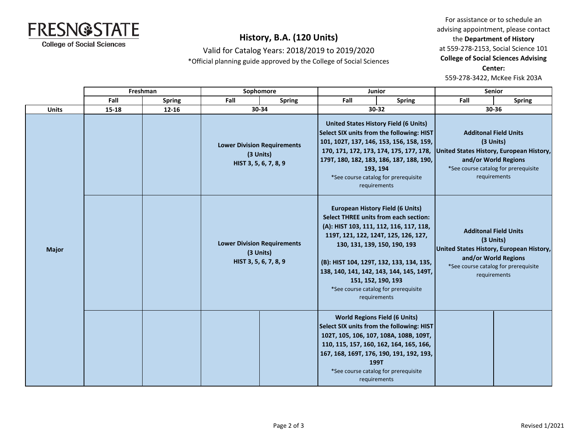

Valid for Catalog Years: 2018/2019 to 2019/2020 \*Official planning guide approved by the College of Social Sciences

For assistance or to schedule an advising appointment, please contact the **Department of History** at 559-278-2153, Social Science 101 **College of Social Sciences Advising Center:**  559-278-3422, McKee Fisk 203A

|              | Freshman |               | Sophomore |                                                                          | <b>Junior</b> |                                                                                                                                                                                                                                                                                                                                                                                  | <b>Senior</b>                                                                                                                 |                                                                                                                                                                       |  |
|--------------|----------|---------------|-----------|--------------------------------------------------------------------------|---------------|----------------------------------------------------------------------------------------------------------------------------------------------------------------------------------------------------------------------------------------------------------------------------------------------------------------------------------------------------------------------------------|-------------------------------------------------------------------------------------------------------------------------------|-----------------------------------------------------------------------------------------------------------------------------------------------------------------------|--|
|              | Fall     | <b>Spring</b> | Fall      | <b>Spring</b>                                                            | Fall          | <b>Spring</b>                                                                                                                                                                                                                                                                                                                                                                    | Fall                                                                                                                          | <b>Spring</b>                                                                                                                                                         |  |
| <b>Units</b> | 15-18    | $12 - 16$     |           | 30-34                                                                    |               | 30-32                                                                                                                                                                                                                                                                                                                                                                            |                                                                                                                               | 30-36                                                                                                                                                                 |  |
|              |          |               |           | <b>Lower Division Requirements</b><br>(3 Units)<br>HIST 3, 5, 6, 7, 8, 9 |               | <b>United States History Field (6 Units)</b><br>Select SIX units from the following: HIST<br>101, 102T, 137, 146, 153, 156, 158, 159,<br>170, 171, 172, 173, 174, 175, 177, 178,<br>179T, 180, 182, 183, 186, 187, 188, 190,<br>193, 194<br>*See course catalog for prerequisite<br>requirements                                                                                 |                                                                                                                               | <b>Additonal Field Units</b><br>(3 Units)<br>United States History, European History,<br>and/or World Regions<br>*See course catalog for prerequisite<br>requirements |  |
| <b>Major</b> |          |               |           | <b>Lower Division Requirements</b><br>(3 Units)<br>HIST 3, 5, 6, 7, 8, 9 |               | <b>European History Field (6 Units)</b><br><b>Select THREE units from each section:</b><br>(A): HIST 103, 111, 112, 116, 117, 118,<br>119T, 121, 122, 124T, 125, 126, 127,<br>130, 131, 139, 150, 190, 193<br>(B): HIST 104, 129T, 132, 133, 134, 135,<br>138, 140, 141, 142, 143, 144, 145, 149T,<br>151, 152, 190, 193<br>*See course catalog for prerequisite<br>requirements | <b>Additonal Field Units</b><br>(3 Units)<br>United States History, European History,<br>and/or World Regions<br>requirements | *See course catalog for prerequisite                                                                                                                                  |  |
|              |          |               |           |                                                                          |               | <b>World Regions Field (6 Units)</b><br>Select SIX units from the following: HIST<br>102T, 105, 106, 107, 108A, 108B, 109T,<br>110, 115, 157, 160, 162, 164, 165, 166,<br>167, 168, 169T, 176, 190, 191, 192, 193,<br>199T<br>*See course catalog for prerequisite<br>requirements                                                                                               |                                                                                                                               |                                                                                                                                                                       |  |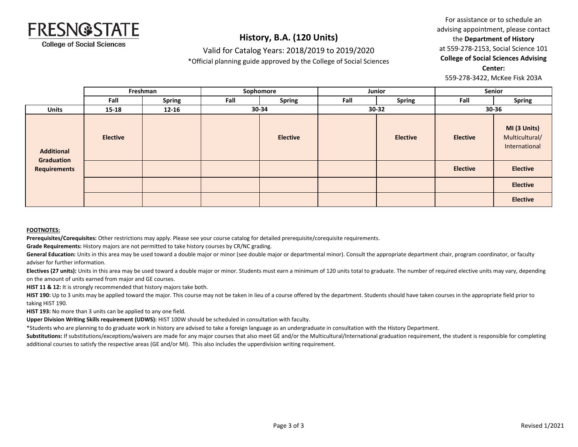

### Valid for Catalog Years: 2018/2019 to 2019/2020

\*Official planning guide approved by the College of Social Sciences

For assistance or to schedule an advising appointment, please contact the **Department of History** at 559-278-2153, Social Science 101 **College of Social Sciences Advising Center:** 

559-278-3422, McKee Fisk 203A

|                                 |                 | Freshman      | Sophomore |                 | Junior |                 | Senior          |                                                 |
|---------------------------------|-----------------|---------------|-----------|-----------------|--------|-----------------|-----------------|-------------------------------------------------|
|                                 | Fall            | <b>Spring</b> | Fall      | <b>Spring</b>   | Fall   | <b>Spring</b>   | Fall            | <b>Spring</b>                                   |
| <b>Units</b>                    | $15 - 18$       | $12 - 16$     |           | 30-34           |        | $30 - 32$       |                 | 30-36                                           |
| <b>Additional</b><br>Graduation | <b>Elective</b> |               |           | <b>Elective</b> |        | <b>Elective</b> | <b>Elective</b> | MI (3 Units)<br>Multicultural/<br>International |
| <b>Requirements</b>             |                 |               |           |                 |        |                 | <b>Elective</b> | <b>Elective</b>                                 |
|                                 |                 |               |           |                 |        |                 |                 | <b>Elective</b>                                 |
|                                 |                 |               |           |                 |        |                 |                 | <b>Elective</b>                                 |

#### **FOOTNOTES:**

**Prerequisites/Corequisites:** Other restrictions may apply. Please see your course catalog for detailed prerequisite/corequisite requirements.

**Grade Requirements:** History majors are not permitted to take history courses by CR/NC grading.

General Education: Units in this area may be used toward a double major or minor (see double major or departmental minor). Consult the appropriate department chair, program coordinator, or faculty adviser for further information.

Electives (27 units): Units in this area may be used toward a double major or minor. Students must earn a minimum of 120 units total to graduate. The number of required elective units may vary, depending on the amount of units earned from major and GE courses.

**HIST 11 & 12:** It is strongly recommended that history majors take both.

HIST 190: Up to 3 units may be applied toward the major. This course may not be taken in lieu of a course offered by the department. Students should have taken courses in the appropriate field prior to taking HIST 190.

**HIST 193:** No more than 3 units can be applied to any one field.

**Upper Division Writing Skills requirement (UDWS):** HIST 100W should be scheduled in consultation with faculty.

\*Students who are planning to do graduate work in history are advised to take a foreign language as an undergraduate in consultation with the History Department.

Substitutions: If substitutions/exceptions/waivers are made for any major courses that also meet GE and/or the Multicultural/International graduation requirement, the student is responsible for completing additional courses to satisfy the respective areas (GE and/or MI). This also includes the upperdivision writing requirement.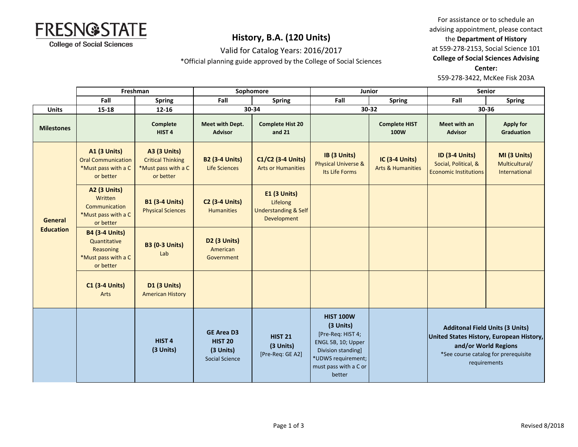

Valid for Catalog Years: 2016/2017

\*Official planning guide approved by the College of Social Sciences

For assistance or to schedule an advising appointment, please contact the **Department of History** at 559-278-2153, Social Science 101 **College of Social Sciences Advising Center:** 

559-278-3422, McKee Fisk 203A

|                             | Freshman                                                                                   |                                                                                     | Sophomore                                                                 |                                                                                   | Junior                                                                                                                                                  |                                                       | <b>Senior</b>                                                                                                                                                      |                                                 |
|-----------------------------|--------------------------------------------------------------------------------------------|-------------------------------------------------------------------------------------|---------------------------------------------------------------------------|-----------------------------------------------------------------------------------|---------------------------------------------------------------------------------------------------------------------------------------------------------|-------------------------------------------------------|--------------------------------------------------------------------------------------------------------------------------------------------------------------------|-------------------------------------------------|
|                             | Fall                                                                                       | <b>Spring</b>                                                                       | Fall                                                                      | <b>Spring</b>                                                                     | Fall                                                                                                                                                    | <b>Spring</b>                                         | Fall                                                                                                                                                               | <b>Spring</b>                                   |
| <b>Units</b>                | 15-18                                                                                      | $12 - 16$                                                                           | 30-34                                                                     |                                                                                   | 30-32                                                                                                                                                   |                                                       | 30-36                                                                                                                                                              |                                                 |
| <b>Milestones</b>           |                                                                                            | Complete<br>HIST <sub>4</sub>                                                       | Meet with Dept.<br><b>Advisor</b>                                         | <b>Complete Hist 20</b><br>and 21                                                 |                                                                                                                                                         | <b>Complete HIST</b><br>100W                          | Meet with an<br><b>Advisor</b>                                                                                                                                     | <b>Apply for</b><br>Graduation                  |
| General<br><b>Education</b> | <b>A1 (3 Units)</b><br><b>Oral Communication</b><br>*Must pass with a C<br>or better       | <b>A3 (3 Units)</b><br><b>Critical Thinking</b><br>*Must pass with a C<br>or better | <b>B2 (3-4 Units)</b><br><b>Life Sciences</b>                             | C1/C2 (3-4 Units)<br><b>Arts or Humanities</b>                                    | IB (3 Units)<br><b>Physical Universe &amp;</b><br>Its Life Forms                                                                                        | <b>IC (3-4 Units)</b><br><b>Arts &amp; Humanities</b> | <b>ID (3-4 Units)</b><br>Social, Political, &<br><b>Economic Institutions</b>                                                                                      | MI (3 Units)<br>Multicultural/<br>International |
|                             | <b>A2 (3 Units)</b><br>Written<br><b>Communication</b><br>*Must pass with a C<br>or better | <b>B1 (3-4 Units)</b><br><b>Physical Sciences</b>                                   | <b>C2 (3-4 Units)</b><br><b>Humanities</b>                                | <b>E1 (3 Units)</b><br>Lifelong<br><b>Understanding &amp; Self</b><br>Development |                                                                                                                                                         |                                                       |                                                                                                                                                                    |                                                 |
|                             | <b>B4 (3-4 Units)</b><br>Quantitative<br>Reasoning<br>*Must pass with a C<br>or better     | <b>B3 (0-3 Units)</b><br>Lab                                                        | D <sub>2</sub> (3 Units)<br>American<br>Government                        |                                                                                   |                                                                                                                                                         |                                                       |                                                                                                                                                                    |                                                 |
|                             | <b>C1 (3-4 Units)</b><br>Arts                                                              | <b>D1 (3 Units)</b><br><b>American History</b>                                      |                                                                           |                                                                                   |                                                                                                                                                         |                                                       |                                                                                                                                                                    |                                                 |
|                             |                                                                                            | HIST <sub>4</sub><br>(3 Units)                                                      | <b>GE Area D3</b><br><b>HIST 20</b><br>(3 Units)<br><b>Social Science</b> | <b>HIST 21</b><br>(3 Units)<br>[Pre-Req: GE A2]                                   | <b>HIST 100W</b><br>(3 Units)<br>[Pre-Req: HIST 4;<br>ENGL 5B, 10; Upper<br>Division standing]<br>*UDWS requirement;<br>must pass with a C or<br>better |                                                       | <b>Additonal Field Units (3 Units)</b><br>United States History, European History,<br>and/or World Regions<br>*See course catalog for prerequisite<br>requirements |                                                 |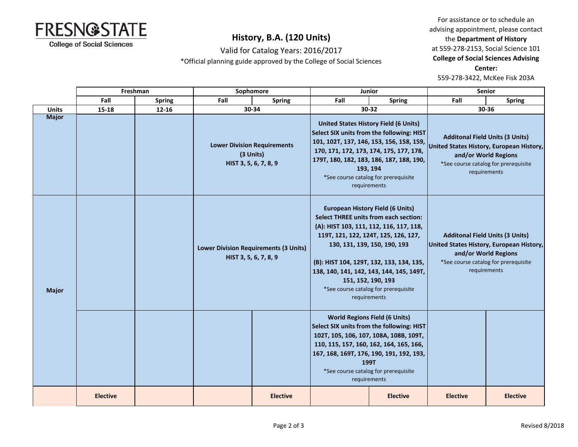

Valid for Catalog Years: 2016/2017

\*Official planning guide approved by the College of Social Sciences

For assistance or to schedule an advising appointment, please contact the **Department of History** at 559-278-2153, Social Science 101 **College of Social Sciences Advising Center:** 

559-278-3422, McKee Fisk 203A

|              |                 | Freshman      | Sophomore                                                                |                 | Junior                                                                                                                                                                                                                                                                                           |                                                                                                                                                                                         | <b>Senior</b>                                                                                                                                                      |                 |
|--------------|-----------------|---------------|--------------------------------------------------------------------------|-----------------|--------------------------------------------------------------------------------------------------------------------------------------------------------------------------------------------------------------------------------------------------------------------------------------------------|-----------------------------------------------------------------------------------------------------------------------------------------------------------------------------------------|--------------------------------------------------------------------------------------------------------------------------------------------------------------------|-----------------|
|              | Fall            | <b>Spring</b> | Fall                                                                     | <b>Spring</b>   | Fall                                                                                                                                                                                                                                                                                             | <b>Spring</b>                                                                                                                                                                           | Fall                                                                                                                                                               | <b>Spring</b>   |
| <b>Units</b> | 15-18           | 12-16         |                                                                          | 30-34           |                                                                                                                                                                                                                                                                                                  | 30-32                                                                                                                                                                                   | 30-36                                                                                                                                                              |                 |
| <b>Major</b> |                 |               | <b>Lower Division Requirements</b><br>(3 Units)<br>HIST 3, 5, 6, 7, 8, 9 |                 | <b>United States History Field (6 Units)</b><br>Select SIX units from the following: HIST<br>101, 102T, 137, 146, 153, 156, 158, 159,<br>170, 171, 172, 173, 174, 175, 177, 178,<br>179T, 180, 182, 183, 186, 187, 188, 190,<br>193, 194<br>*See course catalog for prerequisite<br>requirements |                                                                                                                                                                                         | <b>Additonal Field Units (3 Units)</b><br>United States History, European History,<br>and/or World Regions<br>*See course catalog for prerequisite<br>requirements |                 |
| <b>Major</b> |                 |               | <b>Lower Division Requirements (3 Units)</b><br>HIST 3, 5, 6, 7, 8, 9    |                 | <b>European History Field (6 Units)</b><br><b>Select THREE units from each section:</b><br>119T, 121, 122, 124T, 125, 126, 127,<br>130, 131, 139, 150, 190, 193<br>151, 152, 190, 193                                                                                                            | (A): HIST 103, 111, 112, 116, 117, 118,<br>(B): HIST 104, 129T, 132, 133, 134, 135,<br>138, 140, 141, 142, 143, 144, 145, 149T,<br>*See course catalog for prerequisite<br>requirements | <b>Additonal Field Units (3 Units)</b><br>United States History, European History,<br>and/or World Regions<br>*See course catalog for prerequisite<br>requirements |                 |
|              |                 |               |                                                                          |                 | <b>World Regions Field (6 Units)</b><br>Select SIX units from the following: HIST<br>102T, 105, 106, 107, 108A, 108B, 109T,<br>110, 115, 157, 160, 162, 164, 165, 166,<br>167, 168, 169T, 176, 190, 191, 192, 193,<br>199T<br>*See course catalog for prerequisite<br>requirements               |                                                                                                                                                                                         |                                                                                                                                                                    |                 |
|              | <b>Elective</b> |               |                                                                          | <b>Elective</b> |                                                                                                                                                                                                                                                                                                  | <b>Elective</b>                                                                                                                                                                         | <b>Elective</b>                                                                                                                                                    | <b>Elective</b> |